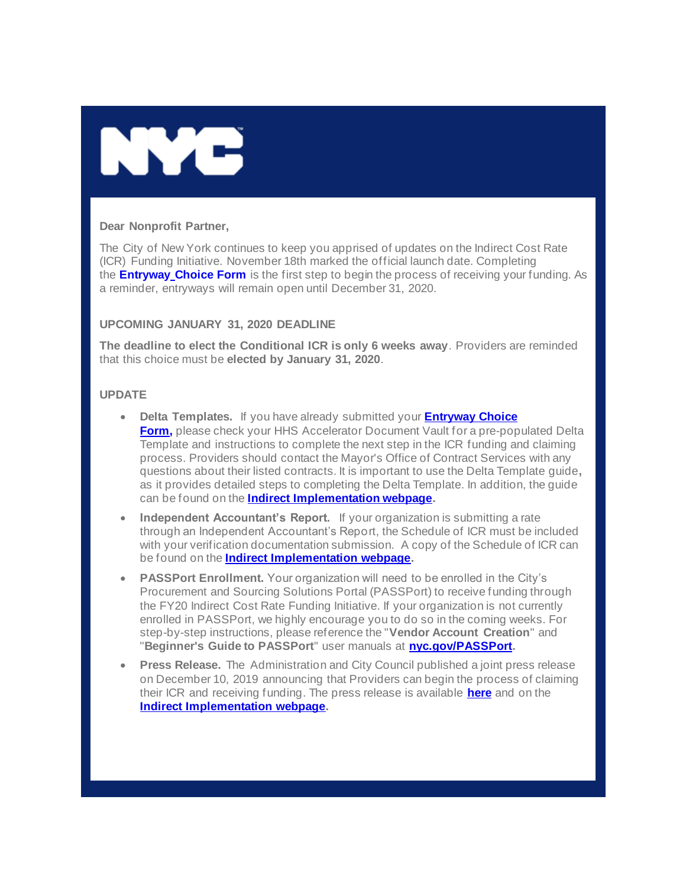

#### **Dear Nonprofit Partner,**

The City of New York continues to keep you apprised of updates on the Indirect Cost Rate (ICR) Funding Initiative. November 18th marked the official launch date. Completing the **Entryway [Choice Form](https://gcc01.safelinks.protection.outlook.com/?url=https%3A%2F%2Fwww1.nyc.gov%2Fsite%2Fnonprofits%2Ffunded-providers%2Findirect-entryway-choice-form.page%3Futm_medium%3Demail%26utm_source%3Dgovdelivery&data=02%7C01%7Coluwa.small%40mocs.nyc.gov%7Cf11d552b5571403d9a3408d7830ae245%7C32f56fc75f814e22a95b15da66513bef%7C0%7C0%7C637121955095644641&sdata=%2FjU%2BL1PCoyk3R7BLSYNkpb2PEN4zVWTKWW3aGrPLTU8%3D&reserved=0)** is the first step to begin the process of receiving your funding. As a reminder, entryways will remain open until December 31, 2020.

### **UPCOMING JANUARY 31, 2020 DEADLINE**

**The deadline to elect the Conditional ICR is only 6 weeks away**. Providers are reminded that this choice must be **elected by January 31, 2020**.

### **UPDATE**

- **Delta Templates.** If you have already submitted your **[Entryway Choice](https://gcc01.safelinks.protection.outlook.com/?url=https%3A%2F%2Fwww1.nyc.gov%2Fsite%2Fnonprofits%2Ffunded-providers%2Findirect-entryway-choice-form.page%3Futm_medium%3Demail%26utm_source%3Dgovdelivery&data=02%7C01%7Coluwa.small%40mocs.nyc.gov%7Cf11d552b5571403d9a3408d7830ae245%7C32f56fc75f814e22a95b15da66513bef%7C0%7C0%7C637121955095644641&sdata=%2FjU%2BL1PCoyk3R7BLSYNkpb2PEN4zVWTKWW3aGrPLTU8%3D&reserved=0)  [Form](https://gcc01.safelinks.protection.outlook.com/?url=https%3A%2F%2Fwww1.nyc.gov%2Fsite%2Fnonprofits%2Ffunded-providers%2Findirect-entryway-choice-form.page%3Futm_medium%3Demail%26utm_source%3Dgovdelivery&data=02%7C01%7Coluwa.small%40mocs.nyc.gov%7Cf11d552b5571403d9a3408d7830ae245%7C32f56fc75f814e22a95b15da66513bef%7C0%7C0%7C637121955095644641&sdata=%2FjU%2BL1PCoyk3R7BLSYNkpb2PEN4zVWTKWW3aGrPLTU8%3D&reserved=0)[,](https://gcc01.safelinks.protection.outlook.com/?data=02%7C01%7CVerena.Diem%40mocs.nyc.gov%7Ce66a3e65d4934352dcb208d77ce34be9%7C32f56fc75f814e22a95b15da66513bef%7C0%7C0%7C637115188833903461&reserved=0&sdata=buqde90S0no55d2LSryDSZnT9MmICPEvdALBarWAhvE%3D&url=https%3A%2F%2Fwww1.nyc.gov%2Fsite%2Fnonprofits%2Ffunded-providers%2Findirect-entryway-choice-form.page%3Futm_medium%3Demail%26utm_source%3Dgovdelivery&utm_medium=email&utm_source=govdelivery)** please check your HHS Accelerator Document Vault for a pre-populated Delta Template and instructions to complete the next step in the ICR funding and claiming process. Providers should contact the Mayor's Office of Contract Services with any questions about their listed contracts. It is important to use the Delta Template guide**,** as it provides detailed steps to completing the Delta Template. In addition, the guide can be found on the **[Indirect Implementation webpage.](https://gcc01.safelinks.protection.outlook.com/?url=https%3A%2F%2Fwww1.nyc.gov%2Fsite%2Fnonprofits%2Ffunded-providers%2Findirect-implementation.page%3Futm_medium%3Demail%26utm_source%3Dgovdelivery&data=02%7C01%7Coluwa.small%40mocs.nyc.gov%7Cf11d552b5571403d9a3408d7830ae245%7C32f56fc75f814e22a95b15da66513bef%7C0%7C0%7C637121955095654638&sdata=%2FO6JX2pPU%2FRx6j%2BoIm%2F2bBlNNUBuPlhIUstpVNUxVbs%3D&reserved=0)**
- **Independent Accountant's Report.** If your organization is submitting a rate through an Independent Accountant's Report, the Schedule of ICR must be included with your verification documentation submission. A copy of the Schedule of ICR can be found on the **[Indirect Implementation webpage.](https://gcc01.safelinks.protection.outlook.com/?url=https%3A%2F%2Fwww1.nyc.gov%2Fsite%2Fnonprofits%2Ffunded-providers%2Findirect-implementation.page%3Futm_medium%3Demail%26utm_source%3Dgovdelivery&data=02%7C01%7Coluwa.small%40mocs.nyc.gov%7Cf11d552b5571403d9a3408d7830ae245%7C32f56fc75f814e22a95b15da66513bef%7C0%7C0%7C637121955095654638&sdata=%2FO6JX2pPU%2FRx6j%2BoIm%2F2bBlNNUBuPlhIUstpVNUxVbs%3D&reserved=0)**
- **PASSPort Enrollment.** Your organization will need to be enrolled in the City's Procurement and Sourcing Solutions Portal (PASSPort) to receive funding through the FY20 Indirect Cost Rate Funding Initiative. If your organization is not currently enrolled in PASSPort, we highly encourage you to do so in the coming weeks. For step-by-step instructions, please reference the "**Vendor Account Creation**" and "**Beginner's Guide to PASSPort**" user manuals at **[nyc.gov/PASSPort.](https://gcc01.safelinks.protection.outlook.com/?url=https%3A%2F%2Fwww1.nyc.gov%2Fsite%2Fmocs%2Fsystems%2Fpassport-user-materials.page%3Futm_medium%3Demail%26utm_source%3Dgovdelivery&data=02%7C01%7Coluwa.small%40mocs.nyc.gov%7Cf11d552b5571403d9a3408d7830ae245%7C32f56fc75f814e22a95b15da66513bef%7C0%7C0%7C637121955095664630&sdata=ZmqwKT0zI%2F%2FJGHjwA2fgxNioFPHtgmjokdalGS%2FYVjQ%3D&reserved=0)**
- **Press Release.** The Administration and City Council published a joint press release on December 10, 2019 announcing that Providers can begin the process of claiming their ICR and receiving funding. The press release is available **[here](https://gcc01.safelinks.protection.outlook.com/?url=https%3A%2F%2Fwww1.nyc.gov%2Foffice-of-the-mayor%2Fnews%2F602-19%2Fmayor-de-blasio-speaker-johnson-city-council-the-launch-the-indirect-funding%3Futm_medium%3Demail%26utm_source%3Dgovdelivery&data=02%7C01%7Coluwa.small%40mocs.nyc.gov%7Cf11d552b5571403d9a3408d7830ae245%7C32f56fc75f814e22a95b15da66513bef%7C0%7C0%7C637121955095664630&sdata=rOyWM0tTsuwoAxpAQfMSrnLOt8ny3fiUCw%2F47QolXOg%3D&reserved=0)** and on the **[Indirect Implementation webpage.](https://gcc01.safelinks.protection.outlook.com/?url=https%3A%2F%2Fwww1.nyc.gov%2Fsite%2Fnonprofits%2Ffunded-providers%2Findirect-implementation.page%3Futm_medium%3Demail%26utm_source%3Dgovdelivery&data=02%7C01%7Coluwa.small%40mocs.nyc.gov%7Cf11d552b5571403d9a3408d7830ae245%7C32f56fc75f814e22a95b15da66513bef%7C0%7C0%7C637121955095674623&sdata=vyb1PEZHFLFhYQ9pGZSlJaRRugb1ocDTTrv5ULDS0sA%3D&reserved=0)**